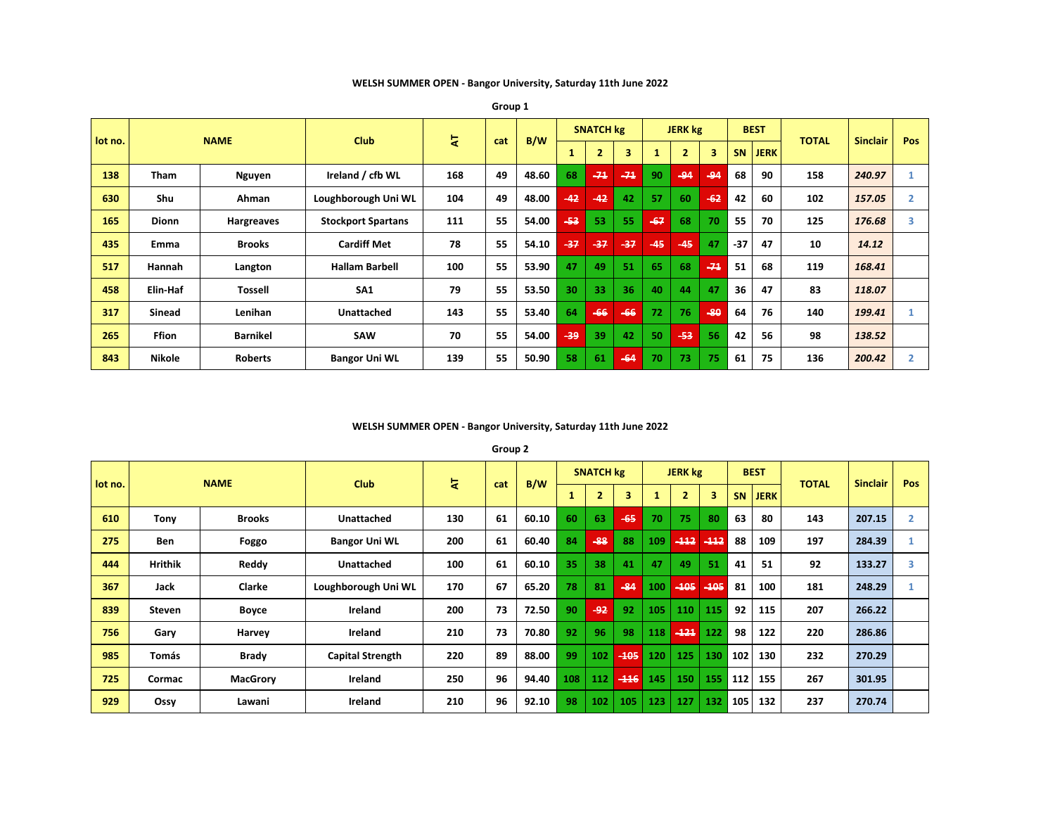**WELSH SUMMER OPEN - Bangor University, Saturday 11th June 2022**

|         |               |                 | <b>Club</b>               | 북   |     |       |     | <b>SNATCH kg</b> |       |       | <b>JERK kg</b> |       |           | <b>BEST</b> |              | <b>Sinclair</b> |     |
|---------|---------------|-----------------|---------------------------|-----|-----|-------|-----|------------------|-------|-------|----------------|-------|-----------|-------------|--------------|-----------------|-----|
| lot no. |               | <b>NAME</b>     |                           |     | cat | B/W   |     | $\overline{2}$   |       |       | $\overline{2}$ | 3     | <b>SN</b> | <b>JERK</b> | <b>TOTAL</b> |                 | Pos |
| 138     | <b>Tham</b>   | Nguyen          | Ireland / cfb WL          | 168 | 49  | 48.60 | 68  | $-71$            | $-74$ | 90    | $-94$          | $-94$ | 68        | 90          | 158          | 240.97          |     |
| 630     | Shu           | Ahman           | Loughborough Uni WL       | 104 | 49  | 48.00 | 42  | $-42$            | 42    | 57    | 60             | $-62$ | 42        | 60          | 102          | 157.05          |     |
| 165     | <b>Dionn</b>  | Hargreaves      | <b>Stockport Spartans</b> | 111 | 55  | 54.00 | -53 | 53               | 55    | $-67$ | 68             | 70    | 55        | 70          | 125          | 176.68          |     |
| 435     | Emma          | <b>Brooks</b>   | <b>Cardiff Met</b>        | 78  | 55  | 54.10 | -37 | $-37$            | $-37$ | $-45$ | $-45$          | 47    | $-37$     | 47          | 10           | 14.12           |     |
| 517     | Hannah        | Langton         | <b>Hallam Barbell</b>     | 100 | 55  | 53.90 | 47  | 49               | 51    | 65    | 68             | $-74$ | 51        | 68          | 119          | 168.41          |     |
| 458     | Elin-Haf      | <b>Tossell</b>  | SA <sub>1</sub>           | 79  | 55  | 53.50 | 30  | 33               | 36    | 40    | 44             | 47    | 36        | 47          | 83           | 118.07          |     |
| 317     | <b>Sinead</b> | Lenihan         | <b>Unattached</b>         | 143 | 55  | 53.40 | 64  | $-66$            | $-66$ | 72    | 76             | $-80$ | 64        | 76          | 140          | 199.41          |     |
| 265     | <b>Ffion</b>  | <b>Barnikel</b> | SAW                       | 70  | 55  | 54.00 | وو۔ | 39               | 42    | 50    | $-53$          | 56    | 42        | 56          | 98           | 138.52          |     |
| 843     | <b>Nikole</b> | <b>Roberts</b>  | <b>Bangor Uni WL</b>      | 139 | 55  | 50.90 | 58  | 61               | $-64$ | 70    | 73             | 75    | 61        | 75          | 136          | 200.42          |     |

**Group 1**

# **WELSH SUMMER OPEN - Bangor University, Saturday 11th June 2022**

**Group 2**

|         |                | <b>NAME</b>     |                         |     |     |       |     | <b>SNATCH kg</b> |        |     | <b>JERK</b> kg |        |       | <b>BEST</b> |              | <b>Sinclair</b> | Pos            |
|---------|----------------|-----------------|-------------------------|-----|-----|-------|-----|------------------|--------|-----|----------------|--------|-------|-------------|--------------|-----------------|----------------|
| lot no. |                |                 | <b>Club</b>             | 눇   | cat | B/W   |     | $\overline{2}$   | 3      |     |                | 3      | SN    | <b>JERK</b> | <b>TOTAL</b> |                 |                |
| 610     | Tony           | <b>Brooks</b>   | <b>Unattached</b>       | 130 | 61  | 60.10 | 60  | 63               | $-65$  | 70  | 75             | 80     | 63    | 80          | 143          | 207.15          | $\overline{2}$ |
| 275     | <b>Ben</b>     | Foggo           | <b>Bangor Uni WL</b>    | 200 | 61  | 60.40 | 84  | $-88$            | 88     | 109 | $-112$         | $-112$ | 88    | 109         | 197          | 284.39          |                |
| 444     | <b>Hrithik</b> | Reddy           | Unattached              | 100 | 61  | 60.10 | 35  | 38               | 41     | 47  | 49             | 51     | 41    | 51          | 92           | 133.27          | 3              |
| 367     | Jack           | Clarke          | Loughborough Uni WL     | 170 | 67  | 65.20 | 78  | 81               | $-84$  | 100 | $-105$         | $-405$ | 81    | 100         | 181          | 248.29          |                |
| 839     | Steven         | <b>Boyce</b>    | Ireland                 | 200 | 73  | 72.50 | 90  | $-92$            | 92     | 105 | 110            | 115    | 92    | 115         | 207          | 266.22          |                |
| 756     | Gary           | Harvey          | Ireland                 | 210 | 73  | 70.80 | 92  | 96               | 98     | 118 | $-121$         | 122    | 98    | 122         | 220          | 286.86          |                |
| 985     | Tomás          | <b>Brady</b>    | <b>Capital Strength</b> | 220 | 89  | 88.00 | 99  | 102              | $-405$ | 120 | 125            | 130    | 102   | 130         | 232          | 270.29          |                |
| 725     | Cormac         | <b>MacGrory</b> | Ireland                 | 250 | 96  | 94.40 | 108 | 112              | $-116$ | 145 | 150            | 155    | $112$ | 155         | 267          | 301.95          |                |
| 929     | Ossy           | Lawani          | Ireland                 | 210 | 96  | 92.10 | 98  | 102              | 105    | 123 | 127            | 132    | 105   | 132         | 237          | 270.74          |                |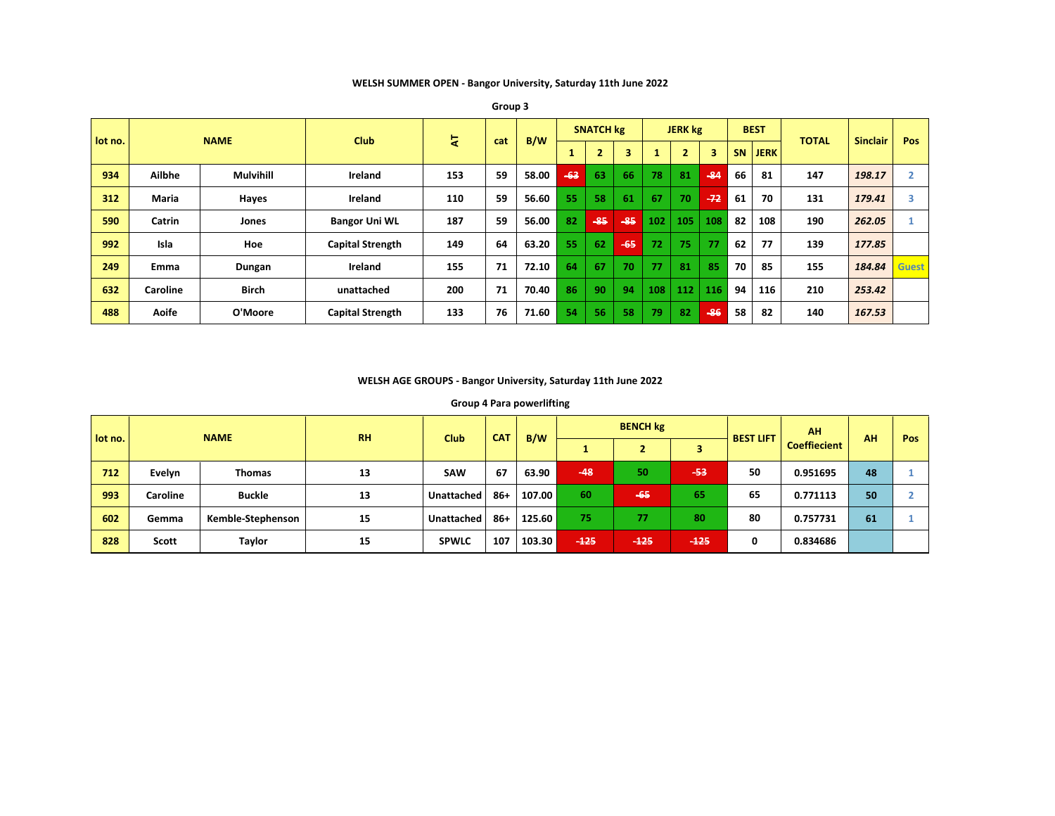**WELSH SUMMER OPEN - Bangor University, Saturday 11th June 2022**

| lot no. |                 | <b>NAME</b>      | <b>Club</b>             | হ   |     | B/W   |       | <b>SNATCH kg</b> |       |              | <b>JERK kg</b> |       |           | <b>BEST</b> | <b>TOTAL</b> | <b>Sinclair</b> | Pos          |
|---------|-----------------|------------------|-------------------------|-----|-----|-------|-------|------------------|-------|--------------|----------------|-------|-----------|-------------|--------------|-----------------|--------------|
|         |                 |                  |                         |     | cat |       |       | z                | 3     | $\mathbf{1}$ |                | 3     | <b>SN</b> | <b>JERK</b> |              |                 |              |
| 934     | Ailbhe          | <b>Mulvihill</b> | Ireland                 | 153 | 59  | 58.00 | $-63$ | 63               | 66    | 78           | 81             | $-84$ | 66        | 81          | 147          | 198.17          |              |
| 312     | <b>Maria</b>    | Hayes            | Ireland                 | 110 | 59  | 56.60 | 55    | 58               | 61    | 67           | 70             | $-72$ | 61        | 70          | 131          | 179.41          |              |
| 590     | Catrin          | Jones            | <b>Bangor Uni WL</b>    | 187 | 59  | 56.00 | 82    | $-85$            | $-85$ | 102          | 105            | 108   | 82        | 108         | 190          | 262.05          |              |
| 992     | Isla            | Hoe              | <b>Capital Strength</b> | 149 | 64  | 63.20 | 55    | 62               | $-65$ | 72           | 75             | 77    | 62        | 77          | 139          | 177.85          |              |
| 249     | Emma            | Dungan           | Ireland                 | 155 | 71  | 72.10 | 64    | 67               | 70    | 77           | 81             | 85    | 70        | 85          | 155          | 184.84          | <b>Guest</b> |
| 632     | <b>Caroline</b> | <b>Birch</b>     | unattached              | 200 | 71  | 70.40 | 86    | 90               | 94    | 108          | 112            | 116   | 94        | 116         | 210          | 253.42          |              |
| 488     | Aoife           | O'Moore          | <b>Capital Strength</b> | 133 | 76  | 71.60 | 54    | 56               | 58    | 79           | 82             | $-86$ | 58        | 82          | 140          | 167.53          |              |

**Group 3**

### **WELSH AGE GROUPS - Bangor University, Saturday 11th June 2022**

### **Group 4 Para powerlifting**

| lot no. |              | <b>NAME</b>       | <b>RH</b> | <b>Club</b>  | <b>CAT</b> | B/W    |        | <b>BENCH kg</b> |        | <b>BEST LIFT</b> | AH                  | AH | <b>Pos</b> |
|---------|--------------|-------------------|-----------|--------------|------------|--------|--------|-----------------|--------|------------------|---------------------|----|------------|
|         |              |                   |           |              |            |        |        |                 | з      |                  | <b>Coeffiecient</b> |    |            |
| 712     | Evelyn       | <b>Thomas</b>     | 13        | <b>SAW</b>   | 67         | 63.90  | $-48$  | 50              | -53    | 50               | 0.951695            | 48 |            |
| 993     | Caroline     | <b>Buckle</b>     | 13        | Unattached   | $86+$      | 107.00 | 60     | $-65$           | 65     | 65               | 0.771113            | 50 |            |
| 602     | Gemma        | Kemble-Stephenson | 15        | Unattached   | $86 +$     | 125.60 | 75     | 77              | 80     | 80               | 0.757731            | 61 |            |
| 828     | <b>Scott</b> | <b>Taylor</b>     | 15        | <b>SPWLC</b> | 107        | 103.30 | $-125$ | $-125$          | $-125$ | 0                | 0.834686            |    |            |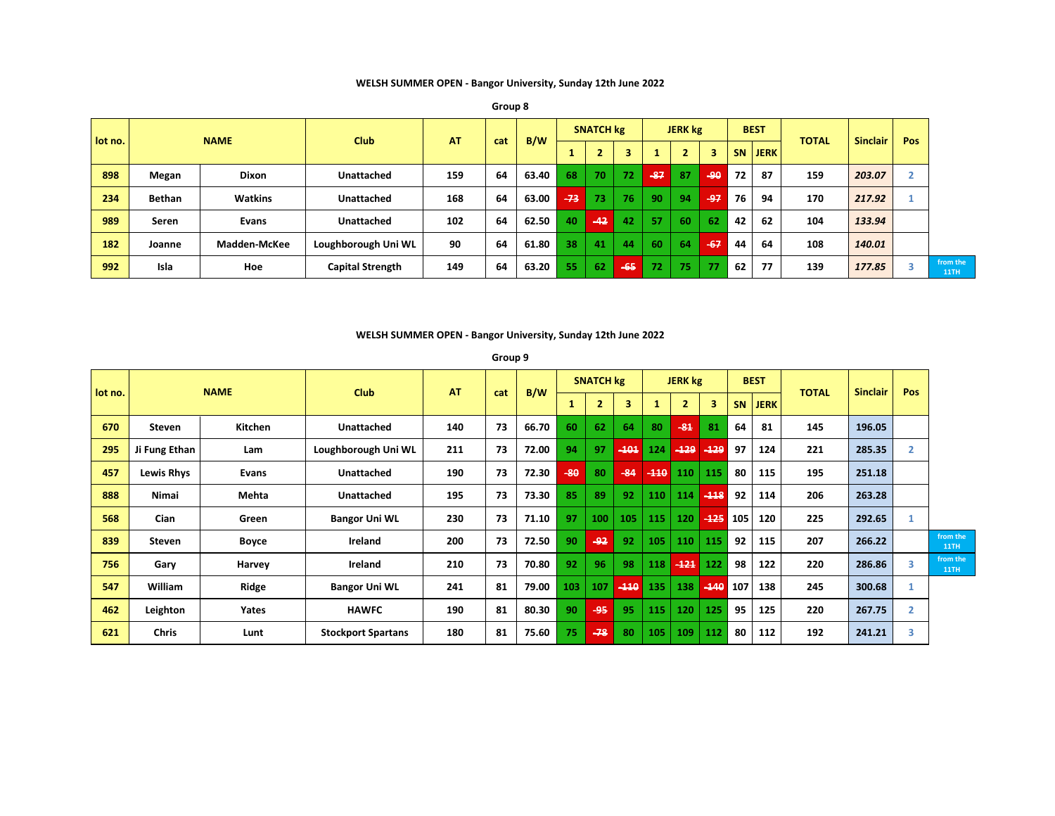**WELSH SUMMER OPEN - Bangor University, Sunday 12th June 2022**

| lot no. |        | <b>NAME</b>  | <b>Club</b>             | <b>AT</b> | cat | B/W   |       | <b>SNATCH kg</b> |       |                 | <b>JERK</b> kg |       |    | <b>BEST</b> | <b>TOTAL</b> | Sinclair | <b>Pos</b> |
|---------|--------|--------------|-------------------------|-----------|-----|-------|-------|------------------|-------|-----------------|----------------|-------|----|-------------|--------------|----------|------------|
|         |        |              |                         |           |     |       |       |                  | 3     |                 | $\overline{2}$ | з     |    | SN JERK     |              |          |            |
| 898     | Megan  | <b>Dixon</b> | Unattached              | 159       | 64  | 63.40 | 68    | 70               | 72    | $-87$           | 87             | $-90$ | 72 | 87          | 159          | 203.07   | z.         |
| 234     | Bethan | Watkins      | Unattached              | 168       | 64  | 63.00 | $-73$ | 73               | 76    | 90              | 94             | $-97$ | 76 | 94          | 170          | 217.92   |            |
| 989     | Seren  | Evans        | Unattached              | 102       | 64  | 62.50 | 40    | $-42$            | 42    | 57              | 60             | 62    | 42 | 62          | 104          | 133.94   |            |
| 182     | Joanne | Madden-McKee | Loughborough Uni WL     | 90        | 64  | 61.80 | 38    | 41               | 44    | 60              | 64             | $-67$ | 44 | 64          | 108          | 140.01   |            |
| 992     | Isla   | Hoe          | <b>Capital Strength</b> | 149       | 64  | 63.20 | 55    | 62               | $-65$ | 72 <sup>1</sup> | 75             | 77    | 62 | 77          | 139          | 177.85   |            |

### **WELSH SUMMER OPEN - Bangor University, Sunday 12th June 2022**

**Group 9**

|         |                   | <b>NAME</b> |                           | <b>AT</b> |     |       |       | <b>SNATCH kg</b> |        |        | <b>JERK kg</b> |        |     | <b>BEST</b> |              |                 | Pos            |                         |
|---------|-------------------|-------------|---------------------------|-----------|-----|-------|-------|------------------|--------|--------|----------------|--------|-----|-------------|--------------|-----------------|----------------|-------------------------|
| lot no. |                   |             | <b>Club</b>               |           | cat | B/W   |       | 2.               | 3      |        | $\overline{2}$ | 3      | SN. | <b>JERK</b> | <b>TOTAL</b> | <b>Sinclair</b> |                |                         |
| 670     | Steven            | Kitchen     | <b>Unattached</b>         | 140       | 73  | 66.70 | 60    | 62               | 64     | 80     | $-84$          | 81     | 64  | 81          | 145          | 196.05          |                |                         |
| 295     | Ji Fung Ethan     | Lam         | Loughborough Uni WL       | 211       | 73  | 72.00 | 94    | 97               | $-101$ | 124    | $-129$         | $-129$ | 97  | 124         | 221          | 285.35          | $\overline{2}$ |                         |
| 457     | <b>Lewis Rhys</b> | Evans       | <b>Unattached</b>         | 190       | 73  | 72.30 | $-80$ | 80               | $-84$  | $-110$ | 110            | 115    | 80  | 115         | 195          | 251.18          |                |                         |
| 888     | Nimai             | Mehta       | <b>Unattached</b>         | 195       | 73  | 73.30 | 85    | 89               | 92     | 110    | 114            | $-118$ | 92  | 114         | 206          | 263.28          |                |                         |
| 568     | Cian              | Green       | <b>Bangor Uni WL</b>      | 230       | 73  | 71.10 | 97    | 100              | 105    | 115    | 120            | $-125$ | 105 | 120         | 225          | 292.65          |                |                         |
| 839     | Steven            | Boyce       | Ireland                   | 200       | 73  | 72.50 | 90    | $-92$            | 92     | 105    | 110            | 115    | 92  | 115         | 207          | 266.22          |                | from the<br><b>11TH</b> |
| 756     | Gary              | Harvey      | Ireland                   | 210       | 73  | 70.80 | 92    | 96               | 98     | 118    | $-121$         | 122    | 98  | 122         | 220          | 286.86          | 3              | from the<br><b>11TH</b> |
| 547     | William           | Ridge       | <b>Bangor Uni WL</b>      | 241       | 81  | 79.00 | 103   | 107              | $-110$ | 135    | 138            | $-140$ | 107 | 138         | 245          | 300.68          |                |                         |
| 462     | Leighton          | Yates       | <b>HAWFC</b>              | 190       | 81  | 80.30 | 90    | -95              | 95     | 115    | 120            | 125    | 95  | 125         | 220          | 267.75          | 2              |                         |
| 621     | <b>Chris</b>      | Lunt        | <b>Stockport Spartans</b> | 180       | 81  | 75.60 | 75    | $-78$            | 80     | 105    | 109            | 112    | 80  | 112         | 192          | 241.21          | 3              |                         |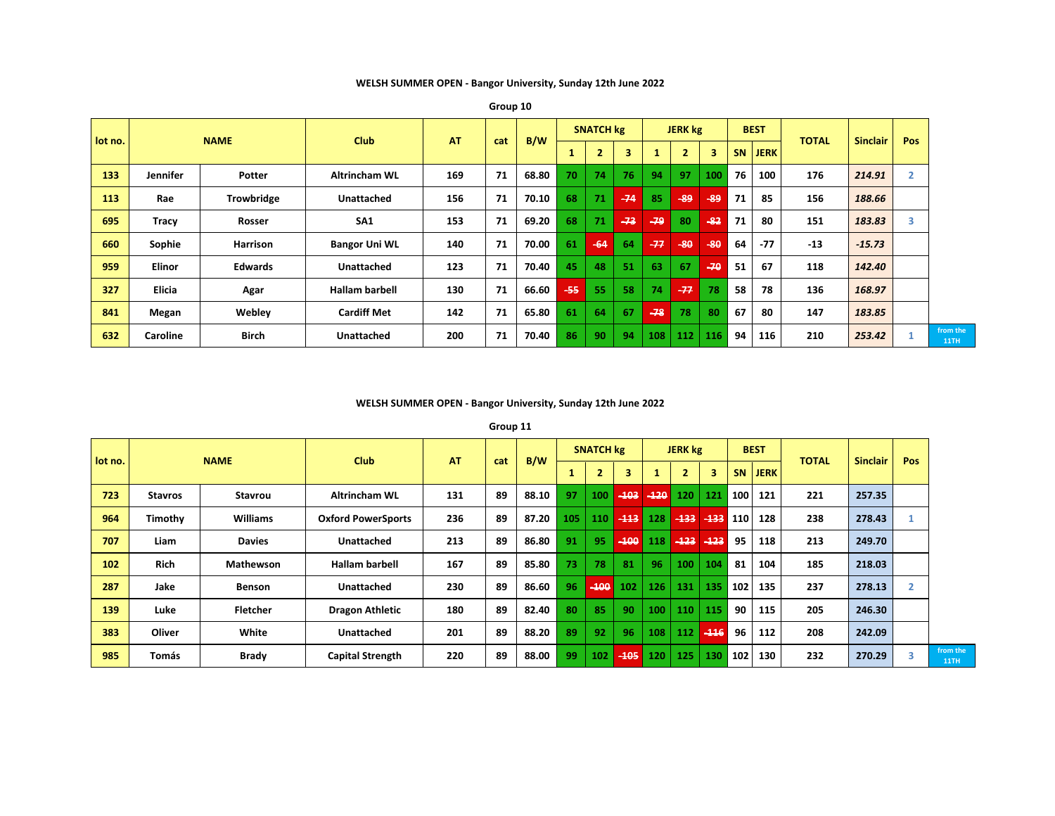**WELSH SUMMER OPEN - Bangor University, Sunday 12th June 2022**

| lot no. |                 | <b>NAME</b>       | <b>Club</b>           | <b>AT</b> |     | B/W   |     | <b>SNATCH kg</b> |       |       | <b>JERK</b> kg |       |           | <b>BEST</b> | <b>TOTAL</b> | <b>Sinclair</b> | Pos |
|---------|-----------------|-------------------|-----------------------|-----------|-----|-------|-----|------------------|-------|-------|----------------|-------|-----------|-------------|--------------|-----------------|-----|
|         |                 |                   |                       |           | cat |       |     | $\overline{2}$   | 3     |       | $\overline{2}$ | 3     | <b>SN</b> | <b>JERK</b> |              |                 |     |
| 133     | <b>Jennifer</b> | Potter            | <b>Altrincham WL</b>  | 169       | 71  | 68.80 | 70  | 74               | 76    | 94    | 97             | 100   | 76        | 100         | 176          | 214.91          |     |
| 113     | Rae             | <b>Trowbridge</b> | Unattached            | 156       | 71  | 70.10 | 68  | 71               | $-74$ | 85    | $-89$          | $-89$ | 71        | 85          | 156          | 188.66          |     |
| 695     | Tracy           | <b>Rosser</b>     | SA <sub>1</sub>       | 153       | 71  | 69.20 | 68  | 71               | $-73$ | $-79$ | 80             | $-82$ | 71        | 80          | 151          | 183.83          | 3   |
| 660     | Sophie          | <b>Harrison</b>   | <b>Bangor Uni WL</b>  | 140       | 71  | 70.00 | 61  | $-64$            | 64    | $-77$ | $-80$          | $-80$ | 64        | $-77$       | $-13$        | $-15.73$        |     |
| 959     | <b>Elinor</b>   | <b>Edwards</b>    | <b>Unattached</b>     | 123       | 71  | 70.40 | 45  | 48               | 51    | 63    | 67             | $-70$ | 51        | 67          | 118          | 142.40          |     |
| 327     | <b>Elicia</b>   | Agar              | <b>Hallam barbell</b> | 130       | 71  | 66.60 | -55 | 55               | 58    | 74    | $-77$          | 78    | 58        | 78          | 136          | 168.97          |     |
| 841     | Megan           | Webley            | <b>Cardiff Met</b>    | 142       | 71  | 65.80 | 61  | 64               | 67    | $-78$ | 78             | 80    | 67        | 80          | 147          | 183.85          |     |
| 632     | Caroline        | <b>Birch</b>      | <b>Unattached</b>     | 200       | 71  | 70.40 | 86  | 90               | 94    | 108   | 112            | 116   | 94        | 116         | 210          | 253.42          |     |

**from the** 

**Group 10**

# **WELSH SUMMER OPEN - Bangor University, Sunday 12th June 2022**

**Group 11**

| lot no. |                | <b>NAME</b>     | <b>Club</b>               | <b>AT</b> |     | B/W   |     | <b>SNATCH kg</b> |        |                  | <b>JERK</b> kg |               |     | <b>BEST</b> | <b>TOTAL</b> | <b>Sinclair</b> | <b>Pos</b> |
|---------|----------------|-----------------|---------------------------|-----------|-----|-------|-----|------------------|--------|------------------|----------------|---------------|-----|-------------|--------------|-----------------|------------|
|         |                |                 |                           |           | cat |       |     |                  | 3      |                  | $\overline{2}$ | 3             |     | SN JERK     |              |                 |            |
| 723     | <b>Stavros</b> | Stavrou         | <b>Altrincham WL</b>      | 131       | 89  | 88.10 | 97  | 100              |        | $-103 - 120$     | <b>120</b>     | 121           | 100 | 121         | 221          | 257.35          |            |
| 964     | Timothy        | <b>Williams</b> | <b>Oxford PowerSports</b> | 236       | 89  | 87.20 | 105 | 110              | $-113$ | 128              | $-133$         | $-133$        | 110 | 128         | 238          | 278.43          |            |
| 707     | Liam           | <b>Davies</b>   | <b>Unattached</b>         | 213       | 89  | 86.80 | 91  | 95               | $-100$ | 118              |                | $-423$ $-423$ | 95  | 118         | 213          | 249.70          |            |
| 102     | Rich           | Mathewson       | <b>Hallam barbell</b>     | 167       | 89  | 85.80 | 73  | 78               | 81     | 96               | 100            | 104           | 81  | 104         | 185          | 218.03          |            |
| 287     | Jake           | <b>Benson</b>   | <b>Unattached</b>         | 230       | 89  | 86.60 | 96  | $-100$           | 102    | 126              | 131            | 135           | 102 | 135         | 237          | 278.13          | 2          |
| 139     | Luke           | <b>Fletcher</b> | <b>Dragon Athletic</b>    | 180       | 89  | 82.40 | 80  | 85               | 90     | 100              | 110            | 115           | 90  | 115         | 205          | 246.30          |            |
| 383     | Oliver         | White           | <b>Unattached</b>         | 201       | 89  | 88.20 | 89  | 92               | 96     | 108              | 112            | $-116$        | 96  | 112         | 208          | 242.09          |            |
| 985     | Tomás          | Brady           | <b>Capital Strength</b>   | 220       | 89  | 88.00 | 99  | 102              | $-105$ | 120 <sub>1</sub> | 125            | 130           | 102 | 130         | 232          | 270.29          | 3          |